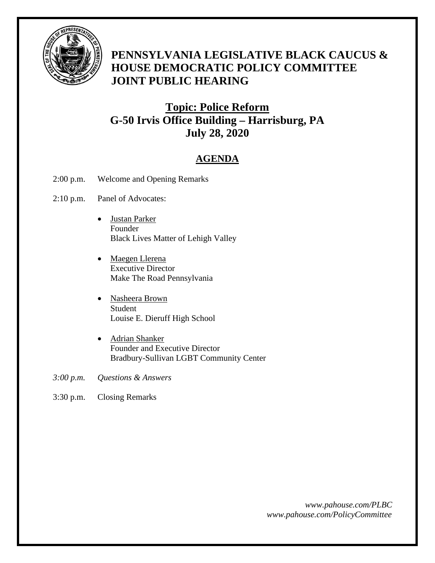

# **PENNSYLVANIA LEGISLATIVE BLACK CAUCUS & HOUSE DEMOCRATIC POLICY COMMITTEE JOINT PUBLIC HEARING**

## **Topic: Police Reform G-50 Irvis Office Building – Harrisburg, PA July 28, 2020**

## **AGENDA**

- 2:00 p.m. Welcome and Opening Remarks
- 2:10 p.m. Panel of Advocates:
	- Justan Parker Founder Black Lives Matter of Lehigh Valley
	- Maegen Llerena Executive Director Make The Road Pennsylvania
	- Nasheera Brown Student Louise E. Dieruff High School
	- Adrian Shanker Founder and Executive Director Bradbury-Sullivan LGBT Community Center
- *3:00 p.m. Questions & Answers*
- 3:30 p.m. Closing Remarks

*www.pahouse.com/PLBC www.pahouse.com/PolicyCommittee*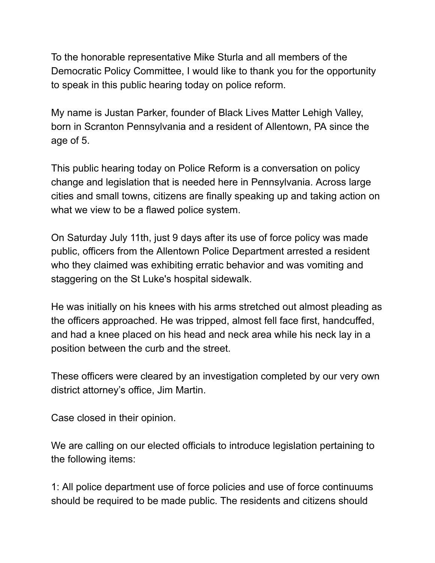To the honorable representative Mike Sturla and all members of the Democratic Policy Committee, I would like to thank you for the opportunity to speak in this public hearing today on police reform.

My name is Justan Parker, founder of Black Lives Matter Lehigh Valley, born in Scranton Pennsylvania and a resident of Allentown, PA since the age of 5.

This public hearing today on Police Reform is a conversation on policy change and legislation that is needed here in Pennsylvania. Across large cities and small towns, citizens are finally speaking up and taking action on what we view to be a flawed police system.

On Saturday July 11th, just 9 days after its use of force policy was made public, officers from the Allentown Police Department arrested a resident who they claimed was exhibiting erratic behavior and was vomiting and staggering on the St Luke's hospital sidewalk.

He was initially on his knees with his arms stretched out almost pleading as the officers approached. He was tripped, almost fell face first, handcuffed, and had a knee placed on his head and neck area while his neck lay in a position between the curb and the street.

These officers were cleared by an investigation completed by our very own district attorney's office, Jim Martin.

Case closed in their opinion.

We are calling on our elected officials to introduce legislation pertaining to the following items:

1: All police department use of force policies and use of force continuums should be required to be made public. The residents and citizens should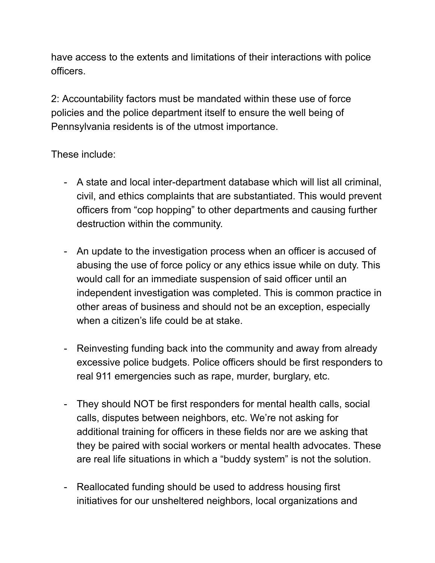have access to the extents and limitations of their interactions with police officers.

2: Accountability factors must be mandated within these use of force policies and the police department itself to ensure the well being of Pennsylvania residents is of the utmost importance.

### These include:

- A state and local inter-department database which will list all criminal, civil, and ethics complaints that are substantiated. This would prevent officers from "cop hopping" to other departments and causing further destruction within the community.
- An update to the investigation process when an officer is accused of abusing the use of force policy or any ethics issue while on duty. This would call for an immediate suspension of said officer until an independent investigation was completed. This is common practice in other areas of business and should not be an exception, especially when a citizen's life could be at stake.
- Reinvesting funding back into the community and away from already excessive police budgets. Police officers should be first responders to real 911 emergencies such as rape, murder, burglary, etc.
- They should NOT be first responders for mental health calls, social calls, disputes between neighbors, etc. We're not asking for additional training for officers in these fields nor are we asking that they be paired with social workers or mental health advocates. These are real life situations in which a "buddy system" is not the solution.
- Reallocated funding should be used to address housing first initiatives for our unsheltered neighbors, local organizations and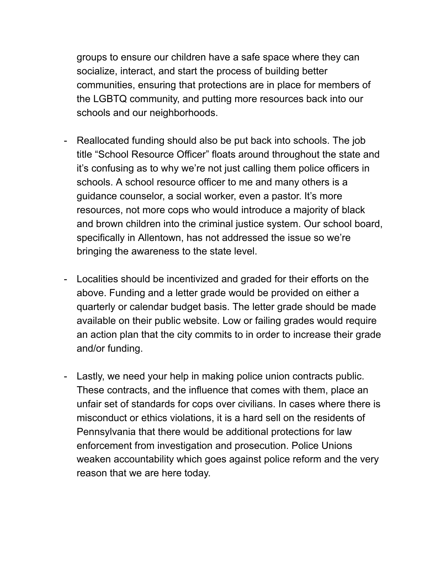groups to ensure our children have a safe space where they can socialize, interact, and start the process of building better communities, ensuring that protections are in place for members of the LGBTQ community, and putting more resources back into our schools and our neighborhoods.

- Reallocated funding should also be put back into schools. The job title "School Resource Officer" floats around throughout the state and it's confusing as to why we're not just calling them police officers in schools. A school resource officer to me and many others is a guidance counselor, a social worker, even a pastor. It's more resources, not more cops who would introduce a majority of black and brown children into the criminal justice system. Our school board, specifically in Allentown, has not addressed the issue so we're bringing the awareness to the state level.
- Localities should be incentivized and graded for their efforts on the above. Funding and a letter grade would be provided on either a quarterly or calendar budget basis. The letter grade should be made available on their public website. Low or failing grades would require an action plan that the city commits to in order to increase their grade and/or funding.
- Lastly, we need your help in making police union contracts public. These contracts, and the influence that comes with them, place an unfair set of standards for cops over civilians. In cases where there is misconduct or ethics violations, it is a hard sell on the residents of Pennsylvania that there would be additional protections for law enforcement from investigation and prosecution. Police Unions weaken accountability which goes against police reform and the very reason that we are here today.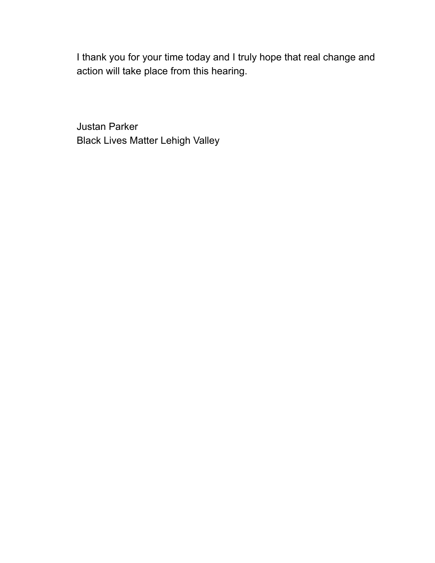I thank you for your time today and I truly hope that real change and action will take place from this hearing.

Justan Parker Black Lives Matter Lehigh Valley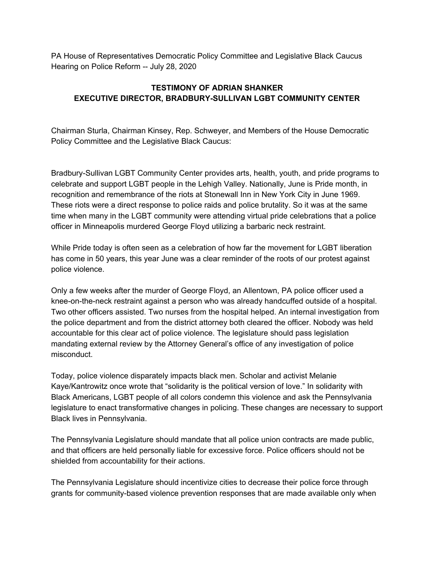PA House of Representatives Democratic Policy Committee and Legislative Black Caucus Hearing on Police Reform -- July 28, 2020

#### **TESTIMONY OF ADRIAN SHANKER EXECUTIVE DIRECTOR, BRADBURY-SULLIVAN LGBT COMMUNITY CENTER**

Chairman Sturla, Chairman Kinsey, Rep. Schweyer, and Members of the House Democratic Policy Committee and the Legislative Black Caucus:

Bradbury-Sullivan LGBT Community Center provides arts, health, youth, and pride programs to celebrate and support LGBT people in the Lehigh Valley. Nationally, June is Pride month, in recognition and remembrance of the riots at Stonewall Inn in New York City in June 1969. These riots were a direct response to police raids and police brutality. So it was at the same time when many in the LGBT community were attending virtual pride celebrations that a police officer in Minneapolis murdered George Floyd utilizing a barbaric neck restraint.

While Pride today is often seen as a celebration of how far the movement for LGBT liberation has come in 50 years, this year June was a clear reminder of the roots of our protest against police violence.

Only a few weeks after the murder of George Floyd, an Allentown, PA police officer used a knee-on-the-neck restraint against a person who was already handcuffed outside of a hospital. Two other officers assisted. Two nurses from the hospital helped. An internal investigation from the police department and from the district attorney both cleared the officer. Nobody was held accountable for this clear act of police violence. The legislature should pass legislation mandating external review by the Attorney General's office of any investigation of police misconduct.

Today, police violence disparately impacts black men. Scholar and activist Melanie Kaye/Kantrowitz once wrote that "solidarity is the political version of love." In solidarity with Black Americans, LGBT people of all colors condemn this violence and ask the Pennsylvania legislature to enact transformative changes in policing. These changes are necessary to support Black lives in Pennsylvania.

The Pennsylvania Legislature should mandate that all police union contracts are made public, and that officers are held personally liable for excessive force. Police officers should not be shielded from accountability for their actions.

The Pennsylvania Legislature should incentivize cities to decrease their police force through grants for community-based violence prevention responses that are made available only when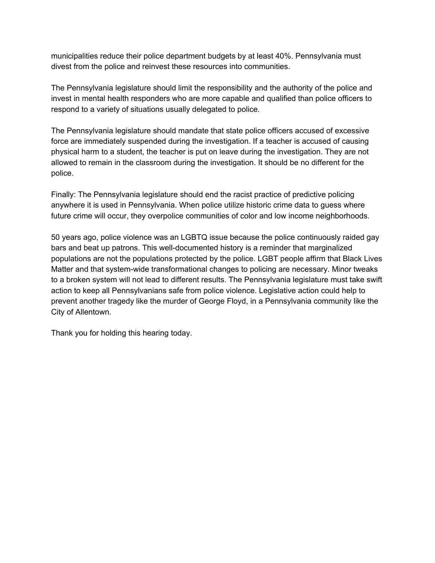municipalities reduce their police department budgets by at least 40%. Pennsylvania must divest from the police and reinvest these resources into communities.

The Pennsylvania legislature should limit the responsibility and the authority of the police and invest in mental health responders who are more capable and qualified than police officers to respond to a variety of situations usually delegated to police.

The Pennsylvania legislature should mandate that state police officers accused of excessive force are immediately suspended during the investigation. If a teacher is accused of causing physical harm to a student, the teacher is put on leave during the investigation. They are not allowed to remain in the classroom during the investigation. It should be no different for the police.

Finally: The Pennsylvania legislature should end the racist practice of predictive policing anywhere it is used in Pennsylvania. When police utilize historic crime data to guess where future crime will occur, they overpolice communities of color and low income neighborhoods.

50 years ago, police violence was an LGBTQ issue because the police continuously raided gay bars and beat up patrons. This well-documented history is a reminder that marginalized populations are not the populations protected by the police. LGBT people affirm that Black Lives Matter and that system-wide transformational changes to policing are necessary. Minor tweaks to a broken system will not lead to different results. The Pennsylvania legislature must take swift action to keep all Pennsylvanians safe from police violence. Legislative action could help to prevent another tragedy like the murder of George Floyd, in a Pennsylvania community like the City of Allentown.

Thank you for holding this hearing today.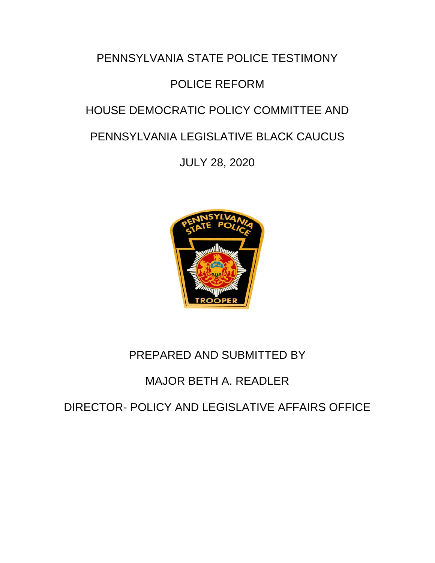# PENNSYLVANIA STATE POLICE TESTIMONY POLICE REFORM HOUSE DEMOCRATIC POLICY COMMITTEE AND PENNSYLVANIA LEGISLATIVE BLACK CAUCUS

JULY 28, 2020



# PREPARED AND SUBMITTED BY

# MAJOR BETH A. READLER

DIRECTOR- POLICY AND LEGISLATIVE AFFAIRS OFFICE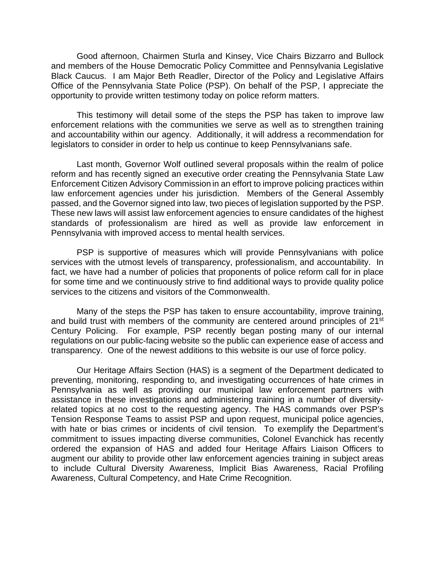Good afternoon, Chairmen Sturla and Kinsey, Vice Chairs Bizzarro and Bullock and members of the House Democratic Policy Committee and Pennsylvania Legislative Black Caucus. I am Major Beth Readler, Director of the Policy and Legislative Affairs Office of the Pennsylvania State Police (PSP). On behalf of the PSP, I appreciate the opportunity to provide written testimony today on police reform matters.

This testimony will detail some of the steps the PSP has taken to improve law enforcement relations with the communities we serve as well as to strengthen training and accountability within our agency. Additionally, it will address a recommendation for legislators to consider in order to help us continue to keep Pennsylvanians safe.

Last month, Governor Wolf outlined several proposals within the realm of police reform and has recently signed an executive order creating the Pennsylvania State Law Enforcement Citizen Advisory Commission in an effort to improve policing practices within law enforcement agencies under his jurisdiction. Members of the General Assembly passed, and the Governor signed into law, two pieces of legislation supported by the PSP. These new laws will assist law enforcement agencies to ensure candidates of the highest standards of professionalism are hired as well as provide law enforcement in Pennsylvania with improved access to mental health services.

PSP is supportive of measures which will provide Pennsylvanians with police services with the utmost levels of transparency, professionalism, and accountability. In fact, we have had a number of policies that proponents of police reform call for in place for some time and we continuously strive to find additional ways to provide quality police services to the citizens and visitors of the Commonwealth.

Many of the steps the PSP has taken to ensure accountability, improve training, and build trust with members of the community are centered around principles of 21<sup>st</sup> Century Policing. For example, PSP recently began posting many of our internal regulations on our public-facing website so the public can experience ease of access and transparency. One of the newest additions to this website is our use of force policy.

Our Heritage Affairs Section (HAS) is a segment of the Department dedicated to preventing, monitoring, responding to, and investigating occurrences of hate crimes in Pennsylvania as well as providing our municipal law enforcement partners with assistance in these investigations and administering training in a number of diversityrelated topics at no cost to the requesting agency. The HAS commands over PSP's Tension Response Teams to assist PSP and upon request, municipal police agencies, with hate or bias crimes or incidents of civil tension. To exemplify the Department's commitment to issues impacting diverse communities, Colonel Evanchick has recently ordered the expansion of HAS and added four Heritage Affairs Liaison Officers to augment our ability to provide other law enforcement agencies training in subject areas to include Cultural Diversity Awareness, Implicit Bias Awareness, Racial Profiling Awareness, Cultural Competency, and Hate Crime Recognition.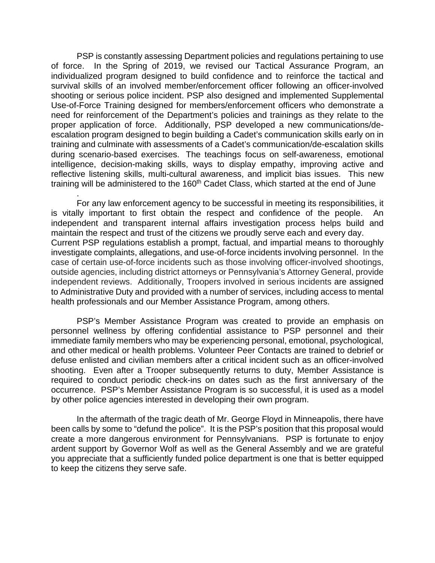PSP is constantly assessing Department policies and regulations pertaining to use of force. In the Spring of 2019, we revised our Tactical Assurance Program, an individualized program designed to build confidence and to reinforce the tactical and survival skills of an involved member/enforcement officer following an officer-involved shooting or serious police incident. PSP also designed and implemented Supplemental Use-of-Force Training designed for members/enforcement officers who demonstrate a need for reinforcement of the Department's policies and trainings as they relate to the proper application of force. Additionally, PSP developed a new communications/deescalation program designed to begin building a Cadet's communication skills early on in training and culminate with assessments of a Cadet's communication/de-escalation skills during scenario-based exercises. The teachings focus on self-awareness, emotional intelligence, decision-making skills, ways to display empathy, improving active and reflective listening skills, multi-cultural awareness, and implicit bias issues. This new training will be administered to the 160<sup>th</sup> Cadet Class, which started at the end of June

For any law enforcement agency to be successful in meeting its responsibilities, it is vitally important to first obtain the respect and confidence of the people. An independent and transparent internal affairs investigation process helps build and maintain the respect and trust of the citizens we proudly serve each and every day. Current PSP regulations establish a prompt, factual, and impartial means to thoroughly investigate complaints, allegations, and use-of-force incidents involving personnel. In the case of certain use-of-force incidents such as those involving officer-involved shootings, outside agencies, including district attorneys or Pennsylvania's Attorney General, provide independent reviews. Additionally, Troopers involved in serious incidents are assigned to Administrative Duty and provided with a number of services, including access to mental health professionals and our Member Assistance Program, among others.

.

PSP's Member Assistance Program was created to provide an emphasis on personnel wellness by offering confidential assistance to PSP personnel and their immediate family members who may be experiencing personal, emotional, psychological, and other medical or health problems. Volunteer Peer Contacts are trained to debrief or defuse enlisted and civilian members after a critical incident such as an officer-involved shooting. Even after a Trooper subsequently returns to duty, Member Assistance is required to conduct periodic check-ins on dates such as the first anniversary of the occurrence. PSP's Member Assistance Program is so successful, it is used as a model by other police agencies interested in developing their own program.

In the aftermath of the tragic death of Mr. George Floyd in Minneapolis, there have been calls by some to "defund the police". It is the PSP's position that this proposal would create a more dangerous environment for Pennsylvanians. PSP is fortunate to enjoy ardent support by Governor Wolf as well as the General Assembly and we are grateful you appreciate that a sufficiently funded police department is one that is better equipped to keep the citizens they serve safe.